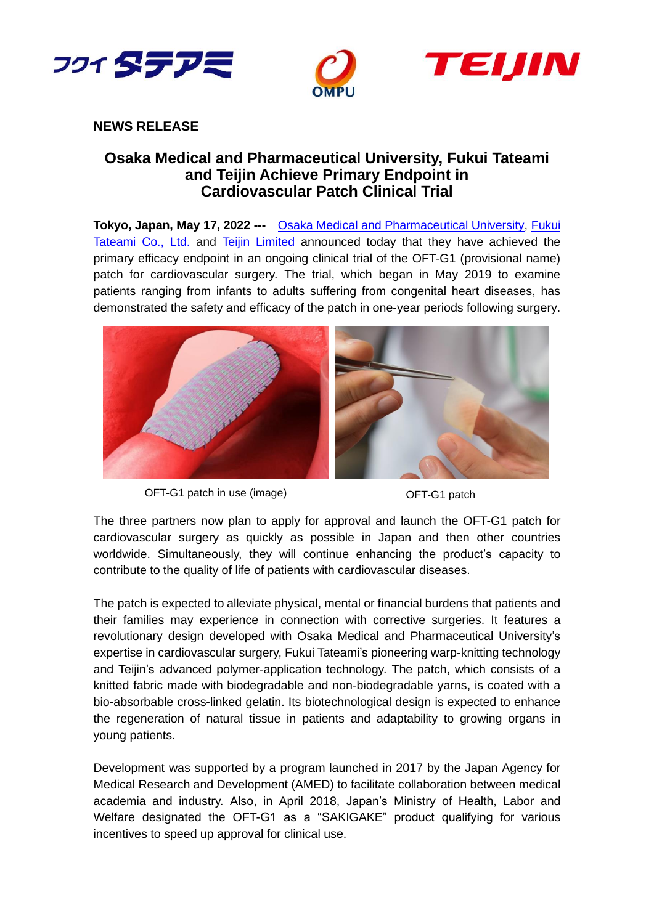



## **NEWS RELEASE**

# **Osaka Medical and Pharmaceutical University, Fukui Tateami and Teijin Achieve Primary Endpoint in Cardiovascular Patch Clinical Trial**

**Tokyo, Japan, May 17, 2022 ---** Osaka Medical and [Pharmaceutical University,](https://www.ompu.ac.jp/) [Fukui](http://www.fukutate.co.jp/en)  [Tateami Co., Ltd.](http://www.fukutate.co.jp/en) and [Teijin Limited](http://www.teijin.com/) announced today that they have achieved the primary efficacy endpoint in an ongoing clinical trial of the OFT-G1 (provisional name) patch for cardiovascular surgery. The trial, which began in May 2019 to examine patients ranging from infants to adults suffering from congenital heart diseases, has demonstrated the safety and efficacy of the patch in one-year periods following surgery.







The three partners now plan to apply for approval and launch the OFT-G1 patch for cardiovascular surgery as quickly as possible in Japan and then other countries worldwide. Simultaneously, they will continue enhancing the product's capacity to contribute to the quality of life of patients with cardiovascular diseases.

The patch is expected to alleviate physical, mental or financial burdens that patients and their families may experience in connection with corrective surgeries. It features a revolutionary design developed with Osaka Medical and Pharmaceutical University's expertise in cardiovascular surgery, Fukui Tateami's pioneering warp-knitting technology and Teijin's advanced polymer-application technology. The patch, which consists of a knitted fabric made with biodegradable and non-biodegradable yarns, is coated with a bio-absorbable cross-linked gelatin. Its biotechnological design is expected to enhance the regeneration of natural tissue in patients and adaptability to growing organs in young patients.

Development was supported by a program launched in 2017 by the Japan Agency for Medical Research and Development (AMED) to facilitate collaboration between medical academia and industry. Also, in April 2018, Japan's Ministry of Health, Labor and Welfare designated the OFT-G1 as a "SAKIGAKE" product qualifying for various incentives to speed up approval for clinical use.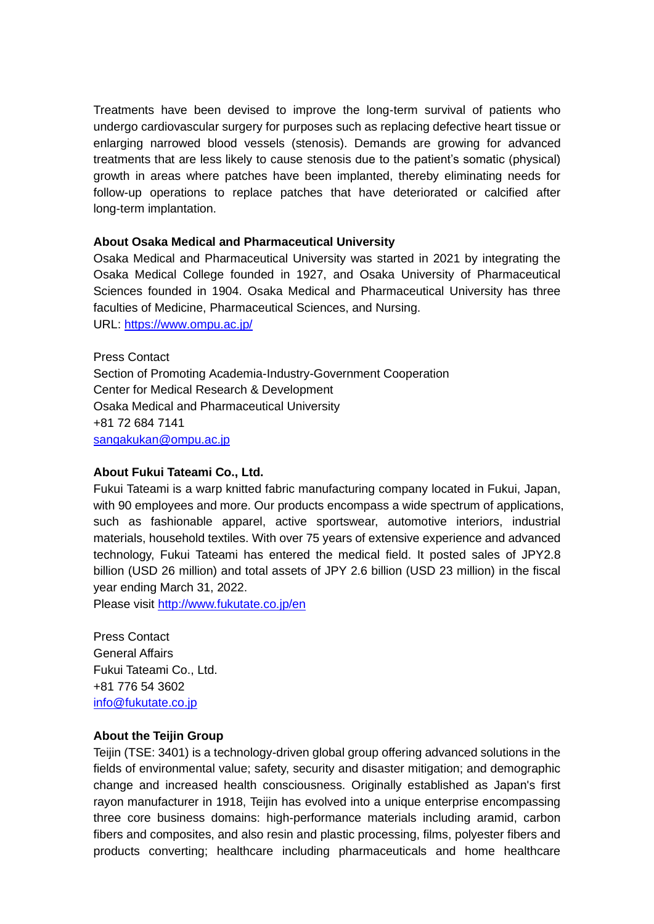Treatments have been devised to improve the long-term survival of patients who undergo cardiovascular surgery for purposes such as replacing defective heart tissue or enlarging narrowed blood vessels (stenosis). Demands are growing for advanced treatments that are less likely to cause stenosis due to the patient's somatic (physical) growth in areas where patches have been implanted, thereby eliminating needs for follow-up operations to replace patches that have deteriorated or calcified after long-term implantation.

### **About Osaka Medical and Pharmaceutical University**

Osaka Medical and Pharmaceutical University was started in 2021 by integrating the Osaka Medical College founded in 1927, and Osaka University of Pharmaceutical Sciences founded in 1904. Osaka Medical and Pharmaceutical University has three faculties of Medicine, Pharmaceutical Sciences, and Nursing.

URL: https://www.ompu.ac.jp/

Press Contact Section of Promoting Academia-Industry-Government Cooperation Center for Medical Research & Development Osaka Medical and Pharmaceutical University +81 72 684 7141 sangakukan@ompu.ac.jp

### **About Fukui Tateami Co., Ltd.**

Fukui Tateami is a warp knitted fabric manufacturing company located in Fukui, Japan, with 90 employees and more. Our products encompass a wide spectrum of applications, such as fashionable apparel, active sportswear, automotive interiors, industrial materials, household textiles. With over 75 years of extensive experience and advanced technology, Fukui Tateami has entered the medical field. It posted sales of JPY2.8 billion (USD 26 million) and total assets of JPY 2.6 billion (USD 23 million) in the fiscal year ending March 31, 2022.

Please visit<http://www.fukutate.co.jp/en>

Press Contact General Affairs Fukui Tateami Co., Ltd. +81 776 54 3602 [info@fukutate.co.jp](mailto:info@fukutate.co.jp)

#### **About the Teijin Group**

Teijin (TSE: 3401) is a technology-driven global group offering advanced solutions in the fields of environmental value; safety, security and disaster mitigation; and demographic change and increased health consciousness. Originally established as Japan's first rayon manufacturer in 1918, Teijin has evolved into a unique enterprise encompassing three core business domains: high-performance materials including aramid, carbon fibers and composites, and also resin and plastic processing, films, polyester fibers and products converting; healthcare including pharmaceuticals and home healthcare